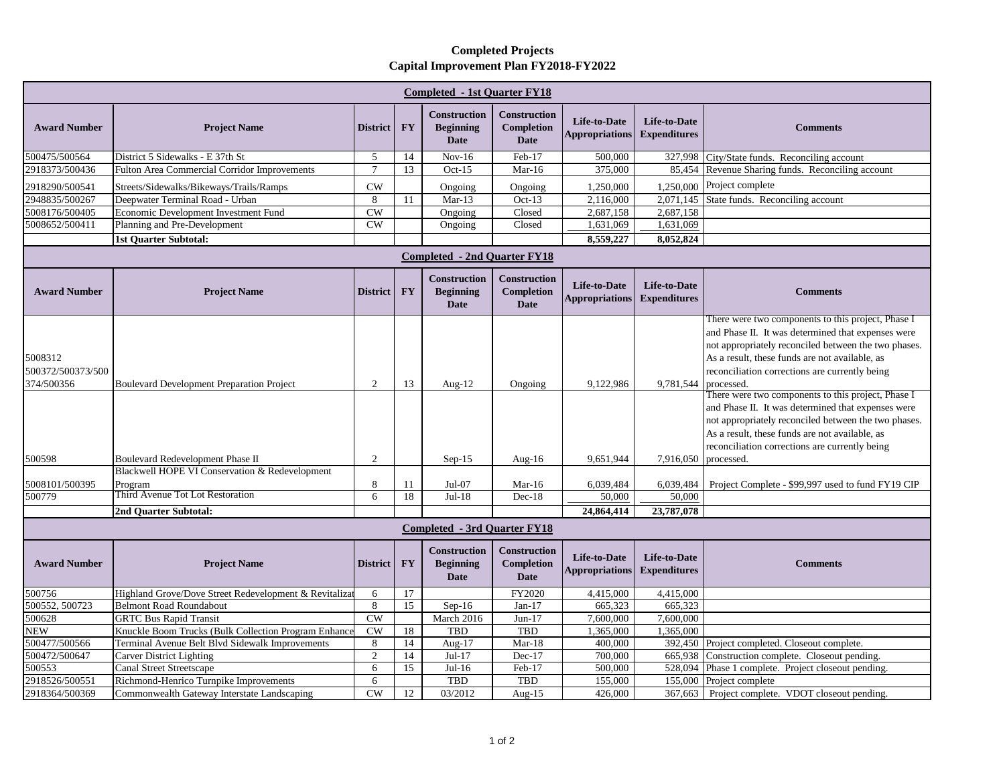## **Completed Projects Capital Improvement Plan FY2018-FY2022**

| <b>Completed - 1st Quarter FY18</b>        |                                                       |                        |           |                                                        |                                                  |                                              |                                            |                                                                                                                                                                                                                                                                      |  |  |  |
|--------------------------------------------|-------------------------------------------------------|------------------------|-----------|--------------------------------------------------------|--------------------------------------------------|----------------------------------------------|--------------------------------------------|----------------------------------------------------------------------------------------------------------------------------------------------------------------------------------------------------------------------------------------------------------------------|--|--|--|
| <b>Award Number</b>                        | <b>Project Name</b>                                   | <b>District</b>        | <b>FY</b> | <b>Construction</b><br><b>Beginning</b><br><b>Date</b> | Construction<br><b>Completion</b><br><b>Date</b> | <b>Life-to-Date</b><br><b>Appropriations</b> | <b>Life-to-Date</b><br><b>Expenditures</b> | <b>Comments</b>                                                                                                                                                                                                                                                      |  |  |  |
| 500475/500564                              | District 5 Sidewalks - E 37th St                      | 5                      | 14        | $Nov-16$                                               | Feb-17                                           | 500,000                                      |                                            | 327,998 City/State funds. Reconciling account                                                                                                                                                                                                                        |  |  |  |
| 2918373/500436                             | Fulton Area Commercial Corridor Improvements          | $\overline{7}$         | 13        | $Oct-15$                                               | $Mar-16$                                         | 375,000                                      |                                            | 85,454 Revenue Sharing funds. Reconciling account                                                                                                                                                                                                                    |  |  |  |
| 2918290/500541                             | Streets/Sidewalks/Bikeways/Trails/Ramps               | CW                     |           | Ongoing                                                | Ongoing                                          | 1,250,000                                    |                                            | 1,250,000 Project complete                                                                                                                                                                                                                                           |  |  |  |
| 2948835/500267                             | Deepwater Terminal Road - Urban                       | 8                      | 11        | $Mar-13$                                               | $Oct-13$                                         | 2,116,000                                    |                                            | 2,071,145 State funds. Reconciling account                                                                                                                                                                                                                           |  |  |  |
| 5008176/500405                             | Economic Development Investment Fund                  | <b>CW</b>              |           | Ongoing                                                | Closed                                           | 2,687,158                                    | 2,687,158                                  |                                                                                                                                                                                                                                                                      |  |  |  |
| 5008652/500411                             | Planning and Pre-Development                          | CW                     |           | Ongoing                                                | Closed                                           | 1,631,069                                    | 1,631,069                                  |                                                                                                                                                                                                                                                                      |  |  |  |
|                                            | <b>1st Quarter Subtotal:</b>                          |                        |           |                                                        |                                                  | 8,559,227                                    | 8,052,824                                  |                                                                                                                                                                                                                                                                      |  |  |  |
| <b>Completed - 2nd Quarter FY18</b>        |                                                       |                        |           |                                                        |                                                  |                                              |                                            |                                                                                                                                                                                                                                                                      |  |  |  |
| <b>Award Number</b>                        | <b>Project Name</b>                                   | <b>District</b>        | <b>FY</b> | <b>Construction</b><br><b>Beginning</b><br><b>Date</b> | Construction<br><b>Completion</b><br><b>Date</b> | Life-to-Date<br><b>Appropriations</b>        | Life-to-Date<br><b>Expenditures</b>        | <b>Comments</b>                                                                                                                                                                                                                                                      |  |  |  |
| 5008312<br>500372/500373/500<br>374/500356 | <b>Boulevard Development Preparation Project</b>      | 2                      | 13        | Aug- $12$                                              | Ongoing                                          | 9,122,986                                    | 9,781,544 processed.                       | There were two components to this project, Phase I<br>and Phase II. It was determined that expenses were<br>not appropriately reconciled between the two phases.<br>As a result, these funds are not available, as<br>reconciliation corrections are currently being |  |  |  |
| 500598                                     | Boulevard Redevelopment Phase II                      | 2                      |           | $Sep-15$                                               | Aug- $16$                                        | 9,651,944                                    | 7,916,050 processed.                       | There were two components to this project, Phase I<br>and Phase II. It was determined that expenses were<br>not appropriately reconciled between the two phases.<br>As a result, these funds are not available, as<br>reconciliation corrections are currently being |  |  |  |
|                                            | Blackwell HOPE VI Conservation & Redevelopment        |                        |           |                                                        |                                                  |                                              |                                            |                                                                                                                                                                                                                                                                      |  |  |  |
| 5008101/500395                             | Program                                               | 8                      | 11        | $Jul-07$                                               | $Mar-16$                                         | 6,039,484                                    | 6,039,484                                  | Project Complete - \$99,997 used to fund FY19 CIP                                                                                                                                                                                                                    |  |  |  |
| 500779                                     | Third Avenue Tot Lot Restoration                      | 6                      | 18        | $Jul-18$                                               | $Dec-18$                                         | 50,000                                       | 50,000                                     |                                                                                                                                                                                                                                                                      |  |  |  |
|                                            | 2nd Ouarter Subtotal:                                 |                        |           |                                                        |                                                  | 24,864,414                                   | 23,787,078                                 |                                                                                                                                                                                                                                                                      |  |  |  |
| <b>Completed - 3rd Quarter FY18</b>        |                                                       |                        |           |                                                        |                                                  |                                              |                                            |                                                                                                                                                                                                                                                                      |  |  |  |
| <b>Award Number</b>                        | <b>Project Name</b>                                   | <b>District</b>        | <b>FY</b> | <b>Construction</b><br><b>Beginning</b><br><b>Date</b> | Construction<br><b>Completion</b><br><b>Date</b> | Life-to-Date<br><b>Appropriations</b>        | Life-to-Date<br><b>Expenditures</b>        | <b>Comments</b>                                                                                                                                                                                                                                                      |  |  |  |
| 500756                                     | Highland Grove/Dove Street Redevelopment & Revitaliza | 6                      | 17        |                                                        | FY2020                                           | 4,415,000                                    | 4,415,000                                  |                                                                                                                                                                                                                                                                      |  |  |  |
| 500552, 500723                             | <b>Belmont Road Roundabout</b>                        | 8                      | 15        | $Sep-16$                                               | $Jan-17$                                         | 665,323                                      | 665,323                                    |                                                                                                                                                                                                                                                                      |  |  |  |
| 500628                                     | <b>GRTC Bus Rapid Transit</b>                         | $\overline{\text{CW}}$ |           | March 2016                                             | $Jun-17$                                         | 7,600,000                                    | 7,600,000                                  |                                                                                                                                                                                                                                                                      |  |  |  |
| <b>NEW</b>                                 | Knuckle Boom Trucks (Bulk Collection Program Enhance  | CW                     | 18        | TBD                                                    | <b>TBD</b>                                       | 1,365,000                                    | 1,365,000                                  |                                                                                                                                                                                                                                                                      |  |  |  |
| 500477/500566                              | Terminal Avenue Belt Blvd Sidewalk Improvements       | 8                      | 14        | Aug-17                                                 | $Mar-18$                                         | 400,000                                      |                                            | 392,450 Project completed. Closeout complete.                                                                                                                                                                                                                        |  |  |  |
| 500472/500647                              | <b>Carver District Lighting</b>                       | $\overline{2}$         | 14        | $Jul-17$                                               | Dec-17                                           | 700,000                                      |                                            | 665,938 Construction complete. Closeout pending.                                                                                                                                                                                                                     |  |  |  |
| 500553                                     | <b>Canal Street Streetscape</b>                       | 6                      | 15        | $Jul-16$                                               | Feb-17                                           | 500,000                                      | 528,094                                    | Phase 1 complete. Project closeout pending.                                                                                                                                                                                                                          |  |  |  |
| 2918526/500551                             | Richmond-Henrico Turnpike Improvements                | 6                      |           | <b>TBD</b>                                             | <b>TBD</b>                                       | 155,000                                      |                                            | 155,000 Project complete                                                                                                                                                                                                                                             |  |  |  |
| 2918364/500369                             | Commonwealth Gateway Interstate Landscaping           | CW                     | 12        | 03/2012                                                | Aug- $15$                                        | 426,000                                      | 367,663                                    | Project complete. VDOT closeout pending.                                                                                                                                                                                                                             |  |  |  |